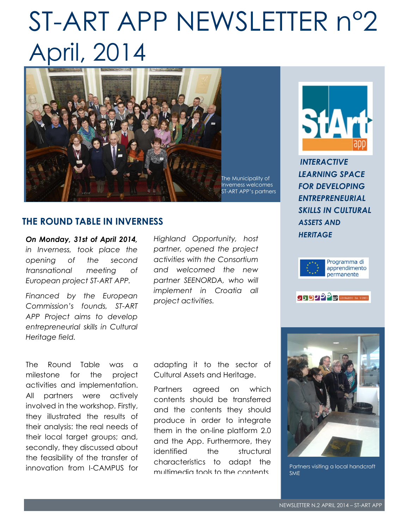## ST-ART APP NEWSLETTER n°2 April, 2014



#### **THE ROUND TABLE IN INVERNESS**

*On Monday, 31st of April 2014, in Inverness, took place the opening of the second transnational meeting of European project ST-ART APP.* 

*Financed by the European Commission's founds, ST-ART APP Project aims to develop entrepreneurial skills in Cultural Heritage field.* 

The Round Table was a milestone for the project activities and implementation. All partners were actively involved in the workshop. Firstly, they illustrated the results of their analysis: the real needs of their local target groups; and, secondly, they discussed about the feasibility of the transfer of innovation from I-CAMPUS for *Highland Opportunity, host partner, opened the project activities with the Consortium and welcomed the new partner SEENORDA, who will implement in Croatia all project activities.*

adapting it to the sector of Cultural Assets and Heritage.

Partners agreed on which contents should be transferred and the contents they should produce in order to integrate them in the on-line platform 2.0 and the App. Furthermore, they identified the structural characteristics to adapt the multimedia tools to the contents.



*INTERACTIVE LEARNING SPACE FOR DEVELOPING ENTREPRENEURIAL SKILLS IN CULTURAL ASSETS AND HERITAGE*







Partners visiting a local handcraft SME